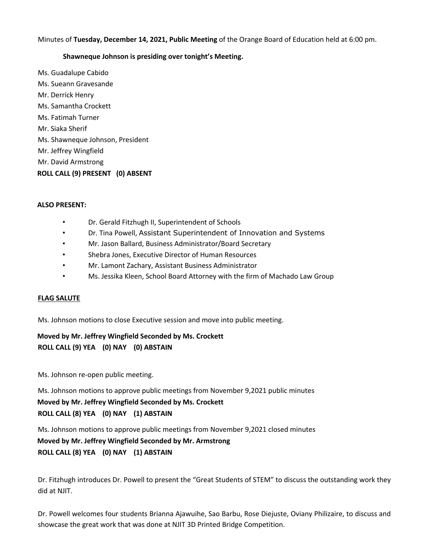Minutes of **Tuesday, December 14, 2021, Public Meeting** of the Orange Board of Education held at 6:00 pm.

### **Shawneque Johnson is presiding over tonight's Meeting.**

Ms. Guadalupe Cabido Ms. Sueann Gravesande Mr. Derrick Henry Ms. Samantha Crockett Ms. Fatimah Turner Mr. Siaka Sherif Ms. Shawneque Johnson, President Mr. Jeffrey Wingfield Mr. David Armstrong **ROLL CALL (9) PRESENT (0) ABSENT** 

#### **ALSO PRESENT:**

- Dr. Gerald Fitzhugh II, Superintendent of Schools
- Dr. Tina Powell, Assistant Superintendent of Innovation and Systems
- Mr. Jason Ballard, Business Administrator/Board Secretary
- Shebra Jones, Executive Director of Human Resources
- Mr. Lamont Zachary, Assistant Business Administrator
- Ms. Jessika Kleen, School Board Attorney with the firm of Machado Law Group

### **FLAG SALUTE**

Ms. Johnson motions to close Executive session and move into public meeting.

**Moved by Mr. Jeffrey Wingfield Seconded by Ms. Crockett ROLL CALL (9) YEA (0) NAY (0) ABSTAIN** 

Ms. Johnson re-open public meeting.

Ms. Johnson motions to approve public meetings from November 9,2021 public minutes **Moved by Mr. Jeffrey Wingfield Seconded by Ms. Crockett ROLL CALL (8) YEA (0) NAY (1) ABSTAIN** 

Ms. Johnson motions to approve public meetings from November 9,2021 closed minutes **Moved by Mr. Jeffrey Wingfield Seconded by Mr. Armstrong ROLL CALL (8) YEA (0) NAY (1) ABSTAIN** 

Dr. Fitzhugh introduces Dr. Powell to present the "Great Students of STEM" to discuss the outstanding work they did at NJIT.

Dr. Powell welcomes four students Brianna Ajawuihe, Sao Barbu, Rose Diejuste, Oviany Philizaire, to discuss and showcase the great work that was done at NJIT 3D Printed Bridge Competition.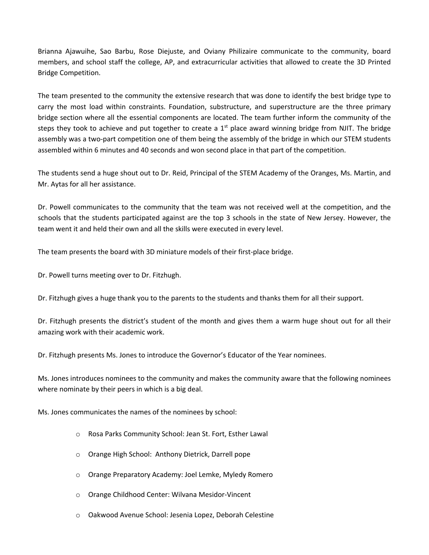Brianna Ajawuihe, Sao Barbu, Rose Diejuste, and Oviany Philizaire communicate to the community, board members, and school staff the college, AP, and extracurricular activities that allowed to create the 3D Printed Bridge Competition.

The team presented to the community the extensive research that was done to identify the best bridge type to carry the most load within constraints. Foundation, substructure, and superstructure are the three primary bridge section where all the essential components are located. The team further inform the community of the steps they took to achieve and put together to create a  $1<sup>st</sup>$  place award winning bridge from NJIT. The bridge assembly was a two-part competition one of them being the assembly of the bridge in which our STEM students assembled within 6 minutes and 40 seconds and won second place in that part of the competition.

The students send a huge shout out to Dr. Reid, Principal of the STEM Academy of the Oranges, Ms. Martin, and Mr. Aytas for all her assistance.

Dr. Powell communicates to the community that the team was not received well at the competition, and the schools that the students participated against are the top 3 schools in the state of New Jersey. However, the team went it and held their own and all the skills were executed in every level.

The team presents the board with 3D miniature models of their first-place bridge.

Dr. Powell turns meeting over to Dr. Fitzhugh.

Dr. Fitzhugh gives a huge thank you to the parents to the students and thanks them for all their support.

Dr. Fitzhugh presents the district's student of the month and gives them a warm huge shout out for all their amazing work with their academic work.

Dr. Fitzhugh presents Ms. Jones to introduce the Governor's Educator of the Year nominees.

Ms. Jones introduces nominees to the community and makes the community aware that the following nominees where nominate by their peers in which is a big deal.

Ms. Jones communicates the names of the nominees by school:

- o Rosa Parks Community School: Jean St. Fort, Esther Lawal
- o Orange High School: Anthony Dietrick, Darrell pope
- o Orange Preparatory Academy: Joel Lemke, Myledy Romero
- o Orange Childhood Center: Wilvana Mesidor-Vincent
- o Oakwood Avenue School: Jesenia Lopez, Deborah Celestine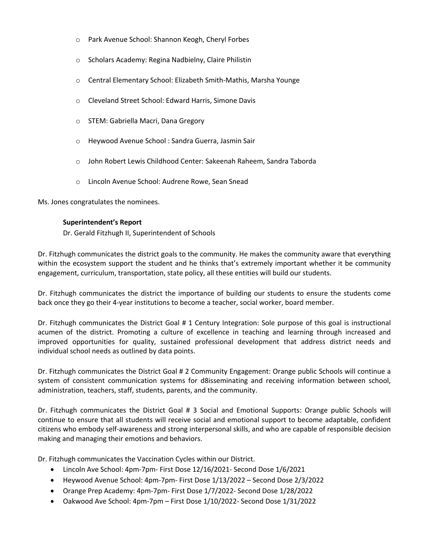- o Park Avenue School: Shannon Keogh, Cheryl Forbes
- o Scholars Academy: Regina Nadbielny, Claire Philistin
- o Central Elementary School: Elizabeth Smith-Mathis, Marsha Younge
- o Cleveland Street School: Edward Harris, Simone Davis
- o STEM: Gabriella Macri, Dana Gregory
- o Heywood Avenue School : Sandra Guerra, Jasmin Sair
- o John Robert Lewis Childhood Center: Sakeenah Raheem, Sandra Taborda
- o Lincoln Avenue School: Audrene Rowe, Sean Snead

Ms. Jones congratulates the nominees.

### **Superintendent's Report**

Dr. Gerald Fitzhugh II, Superintendent of Schools

Dr. Fitzhugh communicates the district goals to the community. He makes the community aware that everything within the ecosystem support the student and he thinks that's extremely important whether it be community engagement, curriculum, transportation, state policy, all these entities will build our students.

Dr. Fitzhugh communicates the district the importance of building our students to ensure the students come back once they go their 4-year institutions to become a teacher, social worker, board member.

Dr. Fitzhugh communicates the District Goal # 1 Century Integration: Sole purpose of this goal is instructional acumen of the district. Promoting a culture of excellence in teaching and learning through increased and improved opportunities for quality, sustained professional development that address district needs and individual school needs as outlined by data points.

Dr. Fitzhugh communicates the District Goal # 2 Community Engagement: Orange public Schools will continue a system of consistent communication systems for d8isseminating and receiving information between school, administration, teachers, staff, students, parents, and the community.

Dr. Fitzhugh communicates the District Goal # 3 Social and Emotional Supports: Orange public Schools will continue to ensure that all students will receive social and emotional support to become adaptable, confident citizens who embody self-awareness and strong interpersonal skills, and who are capable of responsible decision making and managing their emotions and behaviors.

Dr. Fitzhugh communicates the Vaccination Cycles within our District.

- Lincoln Ave School: 4pm-7pm- First Dose 12/16/2021- Second Dose 1/6/2021
- Heywood Avenue School: 4pm-7pm- First Dose 1/13/2022 Second Dose 2/3/2022
- Orange Prep Academy: 4pm-7pm- First Dose 1/7/2022- Second Dose 1/28/2022
- Oakwood Ave School: 4pm-7pm First Dose 1/10/2022- Second Dose 1/31/2022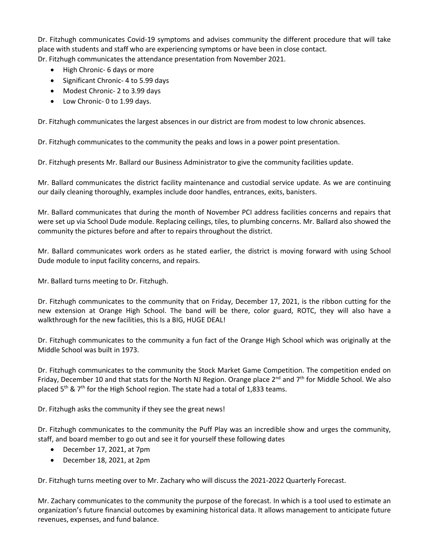Dr. Fitzhugh communicates Covid-19 symptoms and advises community the different procedure that will take place with students and staff who are experiencing symptoms or have been in close contact.

Dr. Fitzhugh communicates the attendance presentation from November 2021.

- High Chronic- 6 days or more
- Significant Chronic- 4 to 5.99 days
- Modest Chronic- 2 to 3.99 days
- Low Chronic- 0 to 1.99 days.

Dr. Fitzhugh communicates the largest absences in our district are from modest to low chronic absences.

Dr. Fitzhugh communicates to the community the peaks and lows in a power point presentation.

Dr. Fitzhugh presents Mr. Ballard our Business Administrator to give the community facilities update.

Mr. Ballard communicates the district facility maintenance and custodial service update. As we are continuing our daily cleaning thoroughly, examples include door handles, entrances, exits, banisters.

Mr. Ballard communicates that during the month of November PCI address facilities concerns and repairs that were set up via School Dude module. Replacing ceilings, tiles, to plumbing concerns. Mr. Ballard also showed the community the pictures before and after to repairs throughout the district.

Mr. Ballard communicates work orders as he stated earlier, the district is moving forward with using School Dude module to input facility concerns, and repairs.

Mr. Ballard turns meeting to Dr. Fitzhugh.

Dr. Fitzhugh communicates to the community that on Friday, December 17, 2021, is the ribbon cutting for the new extension at Orange High School. The band will be there, color guard, ROTC, they will also have a walkthrough for the new facilities, this Is a BIG, HUGE DEAL!

Dr. Fitzhugh communicates to the community a fun fact of the Orange High School which was originally at the Middle School was built in 1973.

Dr. Fitzhugh communicates to the community the Stock Market Game Competition. The competition ended on Friday, December 10 and that stats for the North NJ Region. Orange place  $2^{nd}$  and  $7^{th}$  for Middle School. We also placed  $5<sup>th</sup>$  &  $7<sup>th</sup>$  for the High School region. The state had a total of 1,833 teams.

Dr. Fitzhugh asks the community if they see the great news!

Dr. Fitzhugh communicates to the community the Puff Play was an incredible show and urges the community, staff, and board member to go out and see it for yourself these following dates

- December 17, 2021, at 7pm
- December 18, 2021, at 2pm

Dr. Fitzhugh turns meeting over to Mr. Zachary who will discuss the 2021-2022 Quarterly Forecast.

Mr. Zachary communicates to the community the purpose of the forecast. In which is a tool used to estimate an organization's future financial outcomes by examining historical data. It allows management to anticipate future revenues, expenses, and fund balance.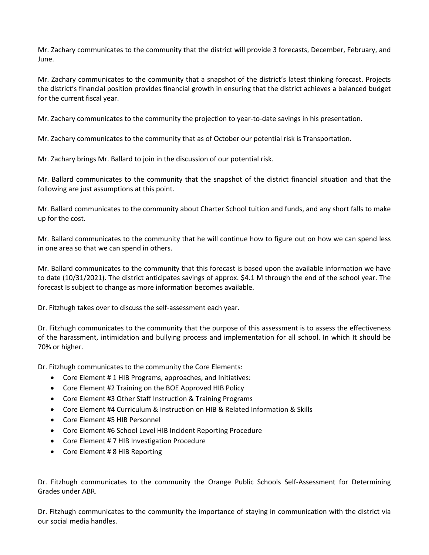Mr. Zachary communicates to the community that the district will provide 3 forecasts, December, February, and June.

Mr. Zachary communicates to the community that a snapshot of the district's latest thinking forecast. Projects the district's financial position provides financial growth in ensuring that the district achieves a balanced budget for the current fiscal year.

Mr. Zachary communicates to the community the projection to year-to-date savings in his presentation.

Mr. Zachary communicates to the community that as of October our potential risk is Transportation.

Mr. Zachary brings Mr. Ballard to join in the discussion of our potential risk.

Mr. Ballard communicates to the community that the snapshot of the district financial situation and that the following are just assumptions at this point.

Mr. Ballard communicates to the community about Charter School tuition and funds, and any short falls to make up for the cost.

Mr. Ballard communicates to the community that he will continue how to figure out on how we can spend less in one area so that we can spend in others.

Mr. Ballard communicates to the community that this forecast is based upon the available information we have to date (10/31/2021). The district anticipates savings of approx. \$4.1 M through the end of the school year. The forecast Is subject to change as more information becomes available.

Dr. Fitzhugh takes over to discuss the self-assessment each year.

Dr. Fitzhugh communicates to the community that the purpose of this assessment is to assess the effectiveness of the harassment, intimidation and bullying process and implementation for all school. In which It should be 70% or higher.

Dr. Fitzhugh communicates to the community the Core Elements:

- Core Element # 1 HIB Programs, approaches, and Initiatives:
- Core Element #2 Training on the BOE Approved HIB Policy
- Core Element #3 Other Staff Instruction & Training Programs
- Core Element #4 Curriculum & Instruction on HIB & Related Information & Skills
- Core Element #5 HIB Personnel
- Core Element #6 School Level HIB Incident Reporting Procedure
- Core Element # 7 HIB Investigation Procedure
- Core Element # 8 HIB Reporting

Dr. Fitzhugh communicates to the community the Orange Public Schools Self-Assessment for Determining Grades under ABR.

Dr. Fitzhugh communicates to the community the importance of staying in communication with the district via our social media handles.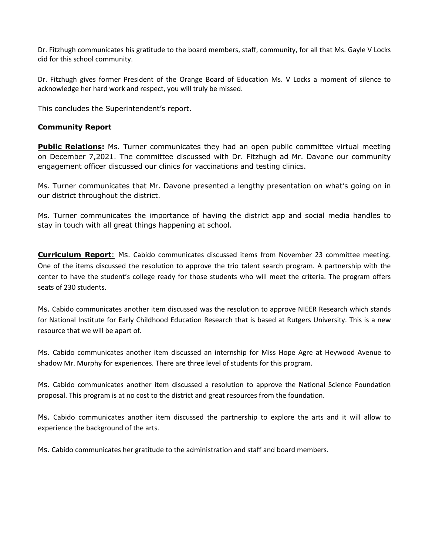Dr. Fitzhugh communicates his gratitude to the board members, staff, community, for all that Ms. Gayle V Locks did for this school community.

Dr. Fitzhugh gives former President of the Orange Board of Education Ms. V Locks a moment of silence to acknowledge her hard work and respect, you will truly be missed.

This concludes the Superintendent's report.

### **Community Report**

**Public Relations:** Ms. Turner communicates they had an open public committee virtual meeting on December 7,2021. The committee discussed with Dr. Fitzhugh ad Mr. Davone our community engagement officer discussed our clinics for vaccinations and testing clinics.

Ms. Turner communicates that Mr. Davone presented a lengthy presentation on what's going on in our district throughout the district.

Ms. Turner communicates the importance of having the district app and social media handles to stay in touch with all great things happening at school.

**Curriculum Report**: Ms. Cabido communicates discussed items from November 23 committee meeting. One of the items discussed the resolution to approve the trio talent search program. A partnership with the center to have the student's college ready for those students who will meet the criteria. The program offers seats of 230 students.

Ms. Cabido communicates another item discussed was the resolution to approve NIEER Research which stands for National Institute for Early Childhood Education Research that is based at Rutgers University. This is a new resource that we will be apart of.

Ms. Cabido communicates another item discussed an internship for Miss Hope Agre at Heywood Avenue to shadow Mr. Murphy for experiences. There are three level of students for this program.

Ms. Cabido communicates another item discussed a resolution to approve the National Science Foundation proposal. This program is at no cost to the district and great resources from the foundation.

Ms. Cabido communicates another item discussed the partnership to explore the arts and it will allow to experience the background of the arts.

Ms. Cabido communicates her gratitude to the administration and staff and board members.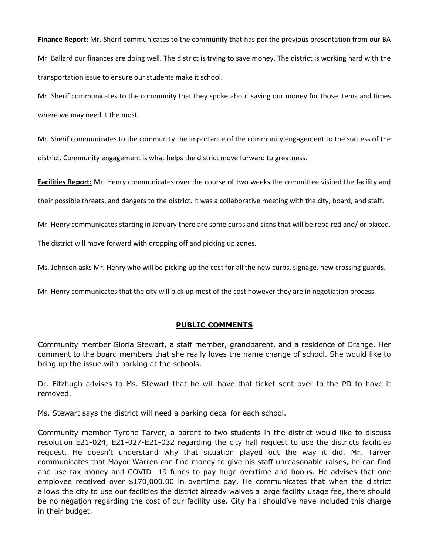**Finance Report:** Mr. Sherif communicates to the community that has per the previous presentation from our BA Mr. Ballard our finances are doing well. The district is trying to save money. The district is working hard with the transportation issue to ensure our students make it school.

Mr. Sherif communicates to the community that they spoke about saving our money for those items and times where we may need it the most.

Mr. Sherif communicates to the community the importance of the community engagement to the success of the district. Community engagement is what helps the district move forward to greatness.

**Facilities Report:** Mr. Henry communicates over the course of two weeks the committee visited the facility and

their possible threats, and dangers to the district. It was a collaborative meeting with the city, board, and staff.

Mr. Henry communicates starting in January there are some curbs and signs that will be repaired and/ or placed.

The district will move forward with dropping off and picking up zones.

Ms. Johnson asks Mr. Henry who will be picking up the cost for all the new curbs, signage, new crossing guards.

Mr. Henry communicates that the city will pick up most of the cost however they are in negotiation process.

### **PUBLIC COMMENTS**

Community member Gloria Stewart, a staff member, grandparent, and a residence of Orange. Her comment to the board members that she really loves the name change of school. She would like to bring up the issue with parking at the schools.

Dr. Fitzhugh advises to Ms. Stewart that he will have that ticket sent over to the PD to have it removed.

Ms. Stewart says the district will need a parking decal for each school.

Community member Tyrone Tarver, a parent to two students in the district would like to discuss resolution E21-024, E21-027-E21-032 regarding the city hall request to use the districts facilities request. He doesn't understand why that situation played out the way it did. Mr. Tarver communicates that Mayor Warren can find money to give his staff unreasonable raises, he can find and use tax money and COVID -19 funds to pay huge overtime and bonus. He advises that one employee received over \$170,000.00 in overtime pay. He communicates that when the district allows the city to use our facilities the district already waives a large facility usage fee, there should be no negation regarding the cost of our facility use. City hall should've have included this charge in their budget.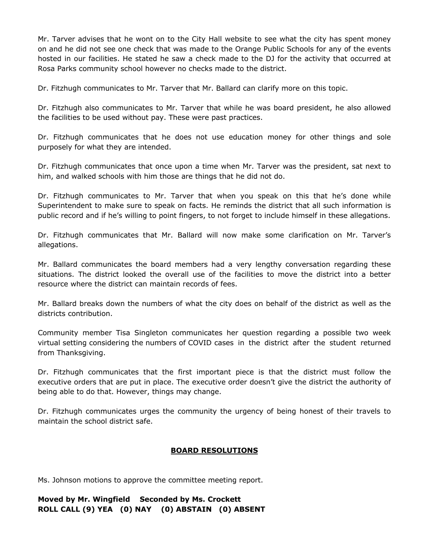Mr. Tarver advises that he wont on to the City Hall website to see what the city has spent money on and he did not see one check that was made to the Orange Public Schools for any of the events hosted in our facilities. He stated he saw a check made to the DJ for the activity that occurred at Rosa Parks community school however no checks made to the district.

Dr. Fitzhugh communicates to Mr. Tarver that Mr. Ballard can clarify more on this topic.

Dr. Fitzhugh also communicates to Mr. Tarver that while he was board president, he also allowed the facilities to be used without pay. These were past practices.

Dr. Fitzhugh communicates that he does not use education money for other things and sole purposely for what they are intended.

Dr. Fitzhugh communicates that once upon a time when Mr. Tarver was the president, sat next to him, and walked schools with him those are things that he did not do.

Dr. Fitzhugh communicates to Mr. Tarver that when you speak on this that he's done while Superintendent to make sure to speak on facts. He reminds the district that all such information is public record and if he's willing to point fingers, to not forget to include himself in these allegations.

Dr. Fitzhugh communicates that Mr. Ballard will now make some clarification on Mr. Tarver's allegations.

Mr. Ballard communicates the board members had a very lengthy conversation regarding these situations. The district looked the overall use of the facilities to move the district into a better resource where the district can maintain records of fees.

Mr. Ballard breaks down the numbers of what the city does on behalf of the district as well as the districts contribution.

Community member Tisa Singleton communicates her question regarding a possible two week virtual setting considering the numbers of COVID cases in the district after the student returned from Thanksgiving.

Dr. Fitzhugh communicates that the first important piece is that the district must follow the executive orders that are put in place. The executive order doesn't give the district the authority of being able to do that. However, things may change.

Dr. Fitzhugh communicates urges the community the urgency of being honest of their travels to maintain the school district safe.

# **BOARD RESOLUTIONS**

Ms. Johnson motions to approve the committee meeting report.

**Moved by Mr. Wingfield Seconded by Ms. Crockett ROLL CALL (9) YEA (0) NAY (0) ABSTAIN (0) ABSENT**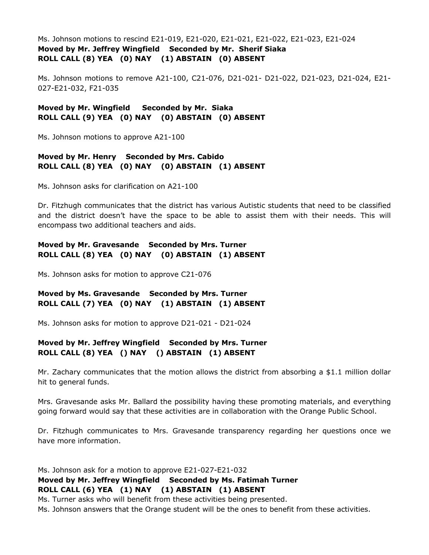Ms. Johnson motions to rescind E21-019, E21-020, E21-021, E21-022, E21-023, E21-024 **Moved by Mr. Jeffrey Wingfield Seconded by Mr. Sherif Siaka ROLL CALL (8) YEA (0) NAY (1) ABSTAIN (0) ABSENT**

Ms. Johnson motions to remove A21-100, C21-076, D21-021- D21-022, D21-023, D21-024, E21- 027-E21-032, F21-035

**Moved by Mr. Wingfield Seconded by Mr. Siaka ROLL CALL (9) YEA (0) NAY (0) ABSTAIN (0) ABSENT**

Ms. Johnson motions to approve A21-100

# **Moved by Mr. Henry Seconded by Mrs. Cabido ROLL CALL (8) YEA (0) NAY (0) ABSTAIN (1) ABSENT**

Ms. Johnson asks for clarification on A21-100

Dr. Fitzhugh communicates that the district has various Autistic students that need to be classified and the district doesn't have the space to be able to assist them with their needs. This will encompass two additional teachers and aids.

# **Moved by Mr. Gravesande Seconded by Mrs. Turner ROLL CALL (8) YEA (0) NAY (0) ABSTAIN (1) ABSENT**

Ms. Johnson asks for motion to approve C21-076

# **Moved by Ms. Gravesande Seconded by Mrs. Turner ROLL CALL (7) YEA (0) NAY (1) ABSTAIN (1) ABSENT**

Ms. Johnson asks for motion to approve D21-021 - D21-024

# **Moved by Mr. Jeffrey Wingfield Seconded by Mrs. Turner ROLL CALL (8) YEA () NAY () ABSTAIN (1) ABSENT**

Mr. Zachary communicates that the motion allows the district from absorbing a \$1.1 million dollar hit to general funds.

Mrs. Gravesande asks Mr. Ballard the possibility having these promoting materials, and everything going forward would say that these activities are in collaboration with the Orange Public School.

Dr. Fitzhugh communicates to Mrs. Gravesande transparency regarding her questions once we have more information.

Ms. Johnson ask for a motion to approve E21-027-E21-032 **Moved by Mr. Jeffrey Wingfield Seconded by Ms. Fatimah Turner ROLL CALL (6) YEA (1) NAY (1) ABSTAIN (1) ABSENT** Ms. Turner asks who will benefit from these activities being presented.

Ms. Johnson answers that the Orange student will be the ones to benefit from these activities.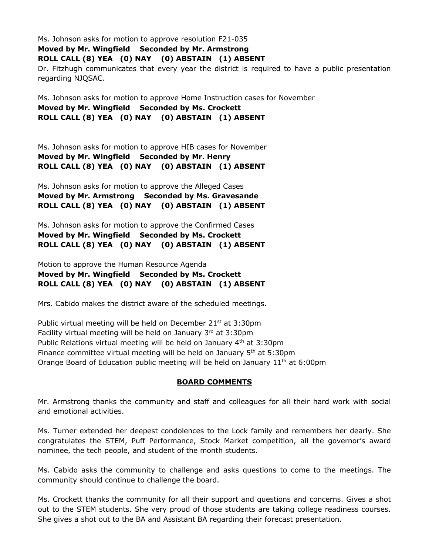Ms. Johnson asks for motion to approve resolution F21-035 **Moved by Mr. Wingfield Seconded by Mr. Armstrong ROLL CALL (8) YEA (0) NAY (0) ABSTAIN (1) ABSENT** Dr. Fitzhugh communicates that every year the district is required to have a public presentation regarding NJQSAC.

Ms. Johnson asks for motion to approve Home Instruction cases for November **Moved by Mr. Wingfield Seconded by Ms. Crockett ROLL CALL (8) YEA (0) NAY (0) ABSTAIN (1) ABSENT**

Ms. Johnson asks for motion to approve HIB cases for November **Moved by Mr. Wingfield Seconded by Mr. Henry ROLL CALL (8) YEA (0) NAY (0) ABSTAIN (1) ABSENT**

Ms. Johnson asks for motion to approve the Alleged Cases **Moved by Mr. Armstrong Seconded by Ms. Gravesande ROLL CALL (8) YEA (0) NAY (0) ABSTAIN (1) ABSENT**

Ms. Johnson asks for motion to approve the Confirmed Cases **Moved by Mr. Wingfield Seconded by Ms. Crockett ROLL CALL (8) YEA (0) NAY (0) ABSTAIN (1) ABSENT**

Motion to approve the Human Resource Agenda **Moved by Mr. Wingfield Seconded by Ms. Crockett ROLL CALL (8) YEA (0) NAY (0) ABSTAIN (1) ABSENT**

Mrs. Cabido makes the district aware of the scheduled meetings.

Public virtual meeting will be held on December 21<sup>st</sup> at 3:30pm Facility virtual meeting will be held on January  $3<sup>rd</sup>$  at 3:30pm Public Relations virtual meeting will be held on January 4<sup>th</sup> at 3:30pm Finance committee virtual meeting will be held on January  $5<sup>th</sup>$  at 5:30pm Orange Board of Education public meeting will be held on January 11<sup>th</sup> at 6:00pm

### **BOARD COMMENTS**

Mr. Armstrong thanks the community and staff and colleagues for all their hard work with social and emotional activities.

Ms. Turner extended her deepest condolences to the Lock family and remembers her dearly. She congratulates the STEM, Puff Performance, Stock Market competition, all the governor's award nominee, the tech people, and student of the month students.

Ms. Cabido asks the community to challenge and asks questions to come to the meetings. The community should continue to challenge the board.

Ms. Crockett thanks the community for all their support and questions and concerns. Gives a shot out to the STEM students. She very proud of those students are taking college readiness courses. She gives a shot out to the BA and Assistant BA regarding their forecast presentation.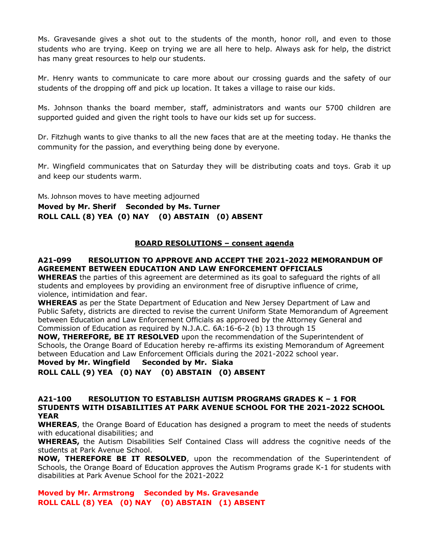Ms. Gravesande gives a shot out to the students of the month, honor roll, and even to those students who are trying. Keep on trying we are all here to help. Always ask for help, the district has many great resources to help our students.

Mr. Henry wants to communicate to care more about our crossing guards and the safety of our students of the dropping off and pick up location. It takes a village to raise our kids.

Ms. Johnson thanks the board member, staff, administrators and wants our 5700 children are supported guided and given the right tools to have our kids set up for success.

Dr. Fitzhugh wants to give thanks to all the new faces that are at the meeting today. He thanks the community for the passion, and everything being done by everyone.

Mr. Wingfield communicates that on Saturday they will be distributing coats and toys. Grab it up and keep our students warm.

Ms. Johnson moves to have meeting adjourned **Moved by Mr. Sherif Seconded by Ms. Turner ROLL CALL (8) YEA (0) NAY (0) ABSTAIN (0) ABSENT**

### **BOARD RESOLUTIONS – consent agenda**

### **A21-099 RESOLUTION TO APPROVE AND ACCEPT THE 2021-2022 MEMORANDUM OF AGREEMENT BETWEEN EDUCATION AND LAW ENFORCEMENT OFFICIALS**

**WHEREAS** the parties of this agreement are determined as its goal to safeguard the rights of all students and employees by providing an environment free of disruptive influence of crime, violence, intimidation and fear.

**WHEREAS** as per the State Department of Education and New Jersey Department of Law and Public Safety, districts are directed to revise the current Uniform State Memorandum of Agreement between Education and Law Enforcement Officials as approved by the Attorney General and Commission of Education as required by N.J.A.C. 6A:16-6-2 (b) 13 through 15

**NOW, THEREFORE, BE IT RESOLVED** upon the recommendation of the Superintendent of Schools, the Orange Board of Education hereby re-affirms its existing Memorandum of Agreement between Education and Law Enforcement Officials during the 2021-2022 school year.

**Moved by Mr. Wingfield Seconded by Mr. Siaka ROLL CALL (9) YEA (0) NAY (0) ABSTAIN (0) ABSENT**

#### **A21-100 RESOLUTION TO ESTABLISH AUTISM PROGRAMS GRADES K – 1 FOR STUDENTS WITH DISABILITIES AT PARK AVENUE SCHOOL FOR THE 2021-2022 SCHOOL YEAR**

**WHEREAS**, the Orange Board of Education has designed a program to meet the needs of students with educational disabilities; and

**WHEREAS,** the Autism Disabilities Self Contained Class will address the cognitive needs of the students at Park Avenue School.

**NOW, THEREFORE BE IT RESOLVED**, upon the recommendation of the Superintendent of Schools, the Orange Board of Education approves the Autism Programs grade K-1 for students with disabilities at Park Avenue School for the 2021-2022

**Moved by Mr. Armstrong Seconded by Ms. Gravesande ROLL CALL (8) YEA (0) NAY (0) ABSTAIN (1) ABSENT**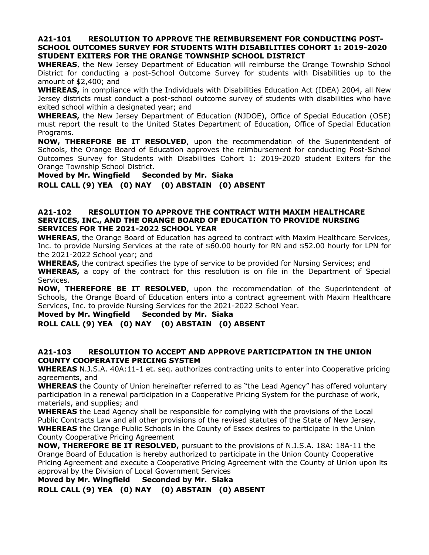### **A21-101 RESOLUTION TO APPROVE THE REIMBURSEMENT FOR CONDUCTING POST-SCHOOL OUTCOMES SURVEY FOR STUDENTS WITH DISABILITIES COHORT 1: 2019-2020 STUDENT EXITERS FOR THE ORANGE TOWNSHIP SCHOOL DISTRICT**

**WHEREAS**, the New Jersey Department of Education will reimburse the Orange Township School District for conducting a post-School Outcome Survey for students with Disabilities up to the amount of \$2,400; and

**WHEREAS,** in compliance with the Individuals with Disabilities Education Act (IDEA) 2004, all New Jersey districts must conduct a post-school outcome survey of students with disabilities who have exited school within a designated year; and

**WHEREAS,** the New Jersey Department of Education (NJDOE), Office of Special Education (OSE) must report the result to the United States Department of Education, Office of Special Education Programs.

**NOW, THEREFORE BE IT RESOLVED**, upon the recommendation of the Superintendent of Schools, the Orange Board of Education approves the reimbursement for conducting Post-School Outcomes Survey for Students with Disabilities Cohort 1: 2019-2020 student Exiters for the Orange Township School District.

**Moved by Mr. Wingfield Seconded by Mr. Siaka ROLL CALL (9) YEA (0) NAY (0) ABSTAIN (0) ABSENT**

### **A21-102 RESOLUTION TO APPROVE THE CONTRACT WITH MAXIM HEALTHCARE SERVICES, INC., AND THE ORANGE BOARD OF EDUCATION TO PROVIDE NURSING SERVICES FOR THE 2021-2022 SCHOOL YEAR**

**WHEREAS**, the Orange Board of Education has agreed to contract with Maxim Healthcare Services, Inc. to provide Nursing Services at the rate of \$60.00 hourly for RN and \$52.00 hourly for LPN for the 2021-2022 School year; and

**WHEREAS,** the contract specifies the type of service to be provided for Nursing Services; and **WHEREAS,** a copy of the contract for this resolution is on file in the Department of Special Services.

**NOW, THEREFORE BE IT RESOLVED**, upon the recommendation of the Superintendent of Schools, the Orange Board of Education enters into a contract agreement with Maxim Healthcare Services, Inc. to provide Nursing Services for the 2021-2022 School Year.

**Moved by Mr. Wingfield Seconded by Mr. Siaka**

**ROLL CALL (9) YEA (0) NAY (0) ABSTAIN (0) ABSENT**

### **A21-103 RESOLUTION TO ACCEPT AND APPROVE PARTICIPATION IN THE UNION COUNTY COOPERATIVE PRICING SYSTEM**

**WHEREAS** N.J.S.A. 40A:11-1 et. seq. authorizes contracting units to enter into Cooperative pricing agreements, and

**WHEREAS** the County of Union hereinafter referred to as "the Lead Agency" has offered voluntary participation in a renewal participation in a Cooperative Pricing System for the purchase of work, materials, and supplies; and

**WHEREAS** the Lead Agency shall be responsible for complying with the provisions of the Local Public Contracts Law and all other provisions of the revised statutes of the State of New Jersey. **WHEREAS** the Orange Public Schools in the County of Essex desires to participate in the Union County Cooperative Pricing Agreement

**NOW, THEREFORE BE IT RESOLVED,** pursuant to the provisions of N.J.S.A. 18A: 18A-11 the Orange Board of Education is hereby authorized to participate in the Union County Cooperative Pricing Agreement and execute a Cooperative Pricing Agreement with the County of Union upon its approval by the Division of Local Government Services

**Moved by Mr. Wingfield Seconded by Mr. Siaka ROLL CALL (9) YEA (0) NAY (0) ABSTAIN (0) ABSENT**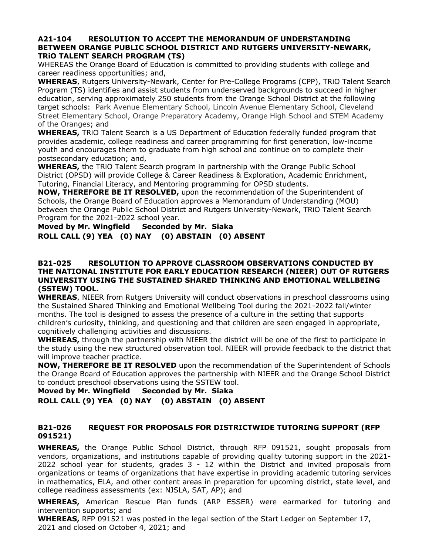#### **A21-104 RESOLUTION TO ACCEPT THE MEMORANDUM OF UNDERSTANDING BETWEEN ORANGE PUBLIC SCHOOL DISTRICT AND RUTGERS UNIVERSITY-NEWARK, TRiO TALENT SEARCH PROGRAM (TS)**

WHEREAS the Orange Board of Education is committed to providing students with college and career readiness opportunities; and,

**WHEREAS**, Rutgers University-Newark, Center for Pre-College Programs (CPP), TRiO Talent Search Program (TS) identifies and assist students from underserved backgrounds to succeed in higher education, serving approximately 250 students from the Orange School District at the following target schools: Park Avenue Elementary School, Lincoln Avenue Elementary School, Cleveland Street Elementary School, Orange Preparatory Academy, Orange High School and STEM Academy of the Oranges; and

**WHEREAS,** TRiO Talent Search is a US Department of Education federally funded program that provides academic, college readiness and career programming for first generation, low-income youth and encourages them to graduate from high school and continue on to complete their postsecondary education; and,

**WHEREAS,** the TRiO Talent Search program in partnership with the Orange Public School District (OPSD) will provide College & Career Readiness & Exploration, Academic Enrichment, Tutoring, Financial Literacy, and Mentoring programming for OPSD students.

**NOW, THEREFORE BE IT RESOLVED,** upon the recommendation of the Superintendent of Schools, the Orange Board of Education approves a Memorandum of Understanding (MOU) between the Orange Public School District and Rutgers University-Newark, TRiO Talent Search Program for the 2021-2022 school year.

**Moved by Mr. Wingfield Seconded by Mr. Siaka ROLL CALL (9) YEA (0) NAY (0) ABSTAIN (0) ABSENT**

#### **B21-025 RESOLUTION TO APPROVE CLASSROOM OBSERVATIONS CONDUCTED BY THE NATIONAL INSTITUTE FOR EARLY EDUCATION RESEARCH (NIEER) OUT OF RUTGERS UNIVERSITY USING THE SUSTAINED SHARED THINKING AND EMOTIONAL WELLBEING (SSTEW) TOOL.**

**WHEREAS**, NIEER from Rutgers University will conduct observations in preschool classrooms using the Sustained Shared Thinking and Emotional Wellbeing Tool during the 2021-2022 fall/winter months. The tool is designed to assess the presence of a culture in the setting that supports children's curiosity, thinking, and questioning and that children are seen engaged in appropriate, cognitively challenging activities and discussions.

**WHEREAS,** through the partnership with NIEER the district will be one of the first to participate in the study using the new structured observation tool. NIEER will provide feedback to the district that will improve teacher practice.

**NOW, THEREFORE BE IT RESOLVED** upon the recommendation of the Superintendent of Schools the Orange Board of Education approves the partnership with NIEER and the Orange School District to conduct preschool observations using the SSTEW tool.

# **Moved by Mr. Wingfield Seconded by Mr. Siaka ROLL CALL (9) YEA (0) NAY (0) ABSTAIN (0) ABSENT**

# **B21-026 REQUEST FOR PROPOSALS FOR DISTRICTWIDE TUTORING SUPPORT (RFP 091521)**

**WHEREAS,** the Orange Public School District, through RFP 091521, sought proposals from vendors, organizations, and institutions capable of providing quality tutoring support in the 2021- 2022 school year for students, grades 3 - 12 within the District and invited proposals from organizations or teams of organizations that have expertise in providing academic tutoring services in mathematics, ELA, and other content areas in preparation for upcoming district, state level, and college readiness assessments (ex: NJSLA, SAT, AP); and

**WHEREAS,** American Rescue Plan funds (ARP ESSER) were earmarked for tutoring and intervention supports; and

**WHEREAS,** RFP 091521 was posted in the legal section of the Start Ledger on September 17, 2021 and closed on October 4, 2021; and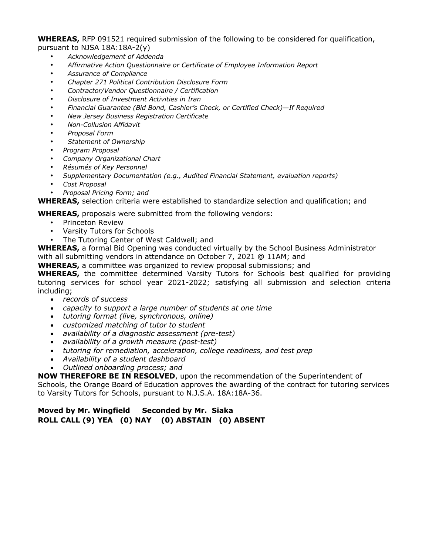**WHEREAS,** RFP 091521 required submission of the following to be considered for qualification, pursuant to NJSA 18A:18A-2(y)

- *Acknowledgement of Addenda*
- *Affirmative Action Questionnaire or Certificate of Employee Information Report*
- *Assurance of Compliance*
- *Chapter 271 Political Contribution Disclosure Form*
- *Contractor/Vendor Questionnaire / Certification*
- *Disclosure of Investment Activities in Iran*
- *Financial Guarantee (Bid Bond, Cashier's Check, or Certified Check)—If Required*
- *New Jersey Business Registration Certificate*
- *Non-Collusion Affidavit*
- *Proposal Form*
- *Statement of Ownership*
- *Program Proposal*
- *Company Organizational Chart*
- *Résumés of Key Personnel*
- *Supplementary Documentation (e.g., Audited Financial Statement, evaluation reports)*
- *Cost Proposal*
- *Proposal Pricing Form; and*

**WHEREAS,** selection criteria were established to standardize selection and qualification; and

**WHEREAS,** proposals were submitted from the following vendors:

- Princeton Review<br>• Varsity Tutors for
- Varsity Tutors for Schools
- The Tutoring Center of West Caldwell; and

**WHEREAS,** a formal Bid Opening was conducted virtually by the School Business Administrator with all submitting vendors in attendance on October 7, 2021 @ 11AM; and

**WHEREAS,** a committee was organized to review proposal submissions; and

**WHEREAS,** the committee determined Varsity Tutors for Schools best qualified for providing tutoring services for school year 2021-2022; satisfying all submission and selection criteria including;

- *records of success*
- *capacity to support a large number of students at one time*
- *tutoring format (live, synchronous, online)*
- *customized matching of tutor to student*
- *availability of a diagnostic assessment (pre-test)*
- *availability of a growth measure (post-test)*
- *tutoring for remediation, acceleration, college readiness, and test prep*
- *Availability of a student dashboard*
- *Outlined onboarding process; and*

**NOW THEREFORE BE IN RESOLVED**, upon the recommendation of the Superintendent of

Schools, the Orange Board of Education approves the awarding of the contract for tutoring services to Varsity Tutors for Schools, pursuant to N.J.S.A. 18A:18A-36.

**Moved by Mr. Wingfield Seconded by Mr. Siaka ROLL CALL (9) YEA (0) NAY (0) ABSTAIN (0) ABSENT**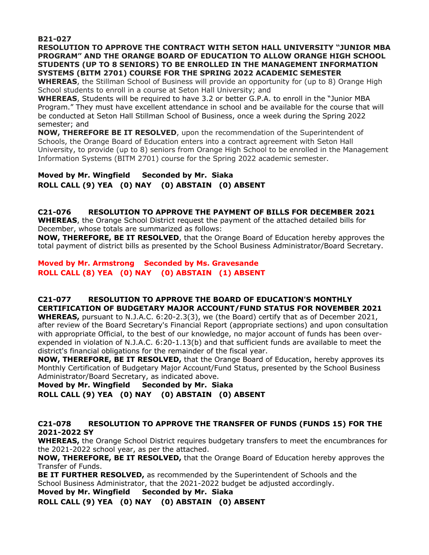**B21-027** 

**RESOLUTION TO APPROVE THE CONTRACT WITH SETON HALL UNIVERSITY "JUNIOR MBA PROGRAM" AND THE ORANGE BOARD OF EDUCATION TO ALLOW ORANGE HIGH SCHOOL STUDENTS (UP TO 8 SENIORS) TO BE ENROLLED IN THE MANAGEMENT INFORMATION SYSTEMS (BITM 2701) COURSE FOR THE SPRING 2022 ACADEMIC SEMESTER**

**WHEREAS**, the Stillman School of Business will provide an opportunity for (up to 8) Orange High School students to enroll in a course at Seton Hall University; and

**WHEREAS**, Students will be required to have 3.2 or better G.P.A. to enroll in the "Junior MBA Program." They must have excellent attendance in school and be available for the course that will be conducted at Seton Hall Stillman School of Business, once a week during the Spring 2022 semester; and

**NOW, THEREFORE BE IT RESOLVED**, upon the recommendation of the Superintendent of Schools, the Orange Board of Education enters into a contract agreement with Seton Hall University, to provide (up to 8) seniors from Orange High School to be enrolled in the Management Information Systems (BITM 2701) course for the Spring 2022 academic semester.

**Moved by Mr. Wingfield Seconded by Mr. Siaka ROLL CALL (9) YEA (0) NAY (0) ABSTAIN (0) ABSENT**

### **C21-076 RESOLUTION TO APPROVE THE PAYMENT OF BILLS FOR DECEMBER 2021**

**WHEREAS**, the Orange School District request the payment of the attached detailed bills for December, whose totals are summarized as follows:

**NOW, THEREFORE, BE IT RESOLVED**, that the Orange Board of Education hereby approves the total payment of district bills as presented by the School Business Administrator/Board Secretary.

### **Moved by Mr. Armstrong Seconded by Ms. Gravesande ROLL CALL (8) YEA (0) NAY (0) ABSTAIN (1) ABSENT**

### **C21-077 RESOLUTION TO APPROVE THE BOARD OF EDUCATION'S MONTHLY CERTIFICATION OF BUDGETARY MAJOR ACCOUNT/FUND STATUS FOR NOVEMBER 2021**

**WHEREAS,** pursuant to N.J.A.C. 6:20-2.3(3), we (the Board) certify that as of December 2021, after review of the Board Secretary's Financial Report (appropriate sections) and upon consultation with appropriate Official, to the best of our knowledge, no major account of funds has been overexpended in violation of N.J.A.C. 6:20-1.13(b) and that sufficient funds are available to meet the district's financial obligations for the remainder of the fiscal year.

**NOW, THEREFORE, BE IT RESOLVED,** that the Orange Board of Education, hereby approves its Monthly Certification of Budgetary Major Account/Fund Status, presented by the School Business Administrator/Board Secretary, as indicated above.

**Moved by Mr. Wingfield Seconded by Mr. Siaka ROLL CALL (9) YEA (0) NAY (0) ABSTAIN (0) ABSENT**

# **C21-078 RESOLUTION TO APPROVE THE TRANSFER OF FUNDS (FUNDS 15) FOR THE 2021-2022 SY**

**WHEREAS,** the Orange School District requires budgetary transfers to meet the encumbrances for the 2021-2022 school year, as per the attached.

**NOW, THEREFORE, BE IT RESOLVED,** that the Orange Board of Education hereby approves the Transfer of Funds.

**BE IT FURTHER RESOLVED,** as recommended by the Superintendent of Schools and the School Business Administrator, that the 2021-2022 budget be adjusted accordingly.

**Moved by Mr. Wingfield Seconded by Mr. Siaka**

**ROLL CALL (9) YEA (0) NAY (0) ABSTAIN (0) ABSENT**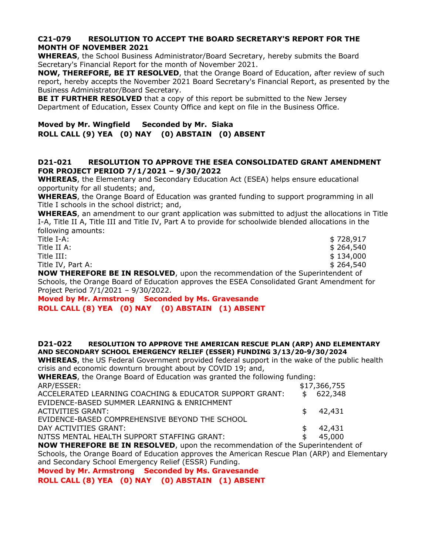# **C21-079 RESOLUTION TO ACCEPT THE BOARD SECRETARY'S REPORT FOR THE MONTH OF NOVEMBER 2021**

**WHEREAS**, the School Business Administrator/Board Secretary, hereby submits the Board Secretary's Financial Report for the month of November 2021.

**NOW, THEREFORE, BE IT RESOLVED**, that the Orange Board of Education, after review of such report, hereby accepts the November 2021 Board Secretary's Financial Report, as presented by the Business Administrator/Board Secretary.

**BE IT FURTHER RESOLVED** that a copy of this report be submitted to the New Jersey Department of Education, Essex County Office and kept on file in the Business Office.

**Moved by Mr. Wingfield Seconded by Mr. Siaka ROLL CALL (9) YEA (0) NAY (0) ABSTAIN (0) ABSENT**

### **D21-021 RESOLUTION TO APPROVE THE ESEA CONSOLIDATED GRANT AMENDMENT FOR PROJECT PERIOD 7/1/2021 – 9/30/2022**

**WHEREAS**, the Elementary and Secondary Education Act (ESEA) helps ensure educational opportunity for all students; and,

**WHEREAS**, the Orange Board of Education was granted funding to support programming in all Title I schools in the school district; and,

**WHEREAS**, an amendment to our grant application was submitted to adjust the allocations in Title I-A, Title II A, Title III and Title IV, Part A to provide for schoolwide blended allocations in the following amounts:

| Title I-A:                                                                             | \$728,917 |
|----------------------------------------------------------------------------------------|-----------|
| Title II A:                                                                            | \$264,540 |
| Title III:                                                                             | \$134,000 |
| Title IV, Part A:                                                                      | \$264,540 |
| <b>NOW THEREFORE BE IN RESOLVED</b> , upon the recommendation of the Superintendent of |           |

Schools, the Orange Board of Education approves the ESEA Consolidated Grant Amendment for Project Period 7/1/2021 – 9/30/2022.

**Moved by Mr. Armstrong Seconded by Ms. Gravesande ROLL CALL (8) YEA (0) NAY (0) ABSTAIN (1) ABSENT**

#### **D21-022 RESOLUTION TO APPROVE THE AMERICAN RESCUE PLAN (ARP) AND ELEMENTARY AND SECONDARY SCHOOL EMERGENCY RELIEF (ESSER) FUNDING 3/13/20-9/30/2024**

**WHEREAS**, the US Federal Government provided federal support in the wake of the public health crisis and economic downturn brought about by COVID 19; and,

| <b>WHEREAS</b> , the Orange Board of Education was granted the following funding:  |    |              |  |
|------------------------------------------------------------------------------------|----|--------------|--|
| ARP/ESSER:                                                                         |    | \$17,366,755 |  |
| ACCELERATED LEARNING COACHING & EDUCATOR SUPPORT GRANT:                            |    | \$622,348    |  |
| EVIDENCE-BASED SUMMER LEARNING & ENRICHMENT                                        |    |              |  |
| ACTIVITIES GRANT:                                                                  |    | \$42,431     |  |
| EVIDENCE-BASED COMPREHENSIVE BEYOND THE SCHOOL                                     |    |              |  |
| DAY ACTIVITIES GRANT:                                                              |    | \$42,431     |  |
| NJTSS MENTAL HEALTH SUPPORT STAFFING GRANT:                                        | \$ | 45.000       |  |
| <b>NOW THEREFORE BE IN RESOLVED.</b> upon the recommendation of the Superintendent |    |              |  |

**NOW THEREFORE BE IN RESOLVED**, upon the recommendation of the Superintendent of Schools, the Orange Board of Education approves the American Rescue Plan (ARP) and Elementary and Secondary School Emergency Relief (ESSR) Funding.

**Moved by Mr. Armstrong Seconded by Ms. Gravesande**

**ROLL CALL (8) YEA (0) NAY (0) ABSTAIN (1) ABSENT**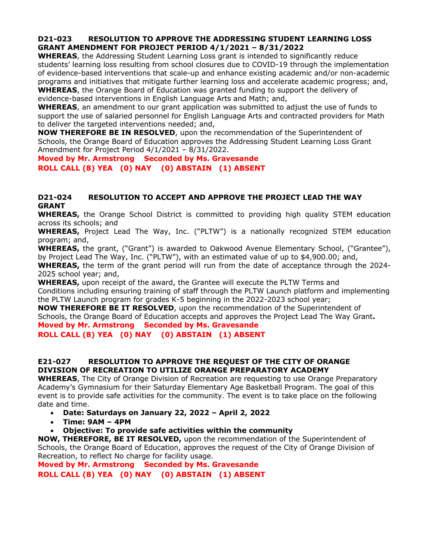# **D21-023 RESOLUTION TO APPROVE THE ADDRESSING STUDENT LEARNING LOSS GRANT AMENDMENT FOR PROJECT PERIOD 4/1/2021 – 8/31/2022**

**WHEREAS**, the Addressing Student Learning Loss grant is intended to significantly reduce students' learning loss resulting from school closures due to COVID-19 through the implementation of evidence-based interventions that scale-up and enhance existing academic and/or non-academic programs and initiatives that mitigate further learning loss and accelerate academic progress; and, **WHEREAS**, the Orange Board of Education was granted funding to support the delivery of

evidence-based interventions in English Language Arts and Math; and,

**WHEREAS**, an amendment to our grant application was submitted to adjust the use of funds to support the use of salaried personnel for English Language Arts and contracted providers for Math to deliver the targeted interventions needed; and,

**NOW THEREFORE BE IN RESOLVED**, upon the recommendation of the Superintendent of Schools, the Orange Board of Education approves the Addressing Student Learning Loss Grant Amendment for Project Period 4/1/2021 – 8/31/2022.

**Moved by Mr. Armstrong Seconded by Ms. Gravesande ROLL CALL (8) YEA (0) NAY (0) ABSTAIN (1) ABSENT**

### **D21-024 RESOLUTION TO ACCEPT AND APPROVE THE PROJECT LEAD THE WAY GRANT**

**WHEREAS,** the Orange School District is committed to providing high quality STEM education across its schools; and

**WHEREAS,** Project Lead The Way, Inc. ("PLTW") is a nationally recognized STEM education program; and,

**WHEREAS,** the grant, ("Grant") is awarded to Oakwood Avenue Elementary School, ("Grantee"), by Project Lead The Way, Inc. ("PLTW"), with an estimated value of up to \$4,900.00; and,

**WHEREAS,** the term of the grant period will run from the date of acceptance through the 2024- 2025 school year; and,

**WHEREAS,** upon receipt of the award, the Grantee will execute the PLTW Terms and Conditions including ensuring training of staff through the PLTW Launch platform and implementing the PLTW Launch program for grades K-5 beginning in the 2022-2023 school year;

**NOW THEREFORE BE IT RESOLVED**, upon the recommendation of the Superintendent of Schools, the Orange Board of Education accepts and approves the Project Lead The Way Grant**. Moved by Mr. Armstrong Seconded by Ms. Gravesande**

**ROLL CALL (8) YEA (0) NAY (0) ABSTAIN (1) ABSENT**

# **E21-027 RESOLUTION TO APPROVE THE REQUEST OF THE CITY OF ORANGE DIVISION OF RECREATION TO UTILIZE ORANGE PREPARATORY ACADEMY**

**WHEREAS**, The City of Orange Division of Recreation are requesting to use Orange Preparatory Academy's Gymnasium for their Saturday Elementary Age Basketball Program. The goal of this event is to provide safe activities for the community. The event is to take place on the following date and time.

- **Date: Saturdays on January 22, 2022 – April 2, 2022**
- **Time: 9AM – 4PM**
- **Objective: To provide safe activities within the community**

**NOW, THEREFORE, BE IT RESOLVED,** upon the recommendation of the Superintendent of Schools, the Orange Board of Education, approves the request of the City of Orange Division of Recreation, to reflect No charge for facility usage.

**Moved by Mr. Armstrong Seconded by Ms. Gravesande**

**ROLL CALL (8) YEA (0) NAY (0) ABSTAIN (1) ABSENT**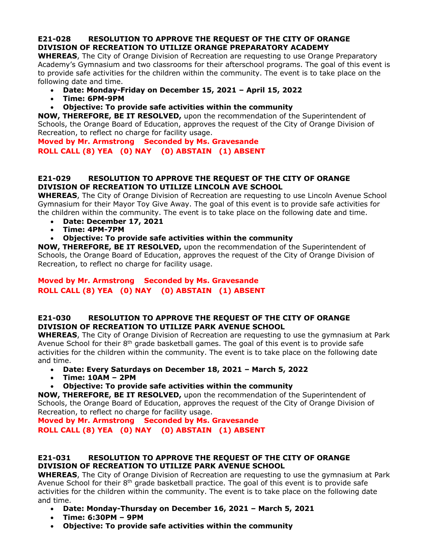# **E21-028 RESOLUTION TO APPROVE THE REQUEST OF THE CITY OF ORANGE DIVISION OF RECREATION TO UTILIZE ORANGE PREPARATORY ACADEMY**

**WHEREAS**, The City of Orange Division of Recreation are requesting to use Orange Preparatory Academy's Gymnasium and two classrooms for their afterschool programs. The goal of this event is to provide safe activities for the children within the community. The event is to take place on the following date and time.

- **Date: Monday-Friday on December 15, 2021 – April 15, 2022**
- **Time: 6PM-9PM**
- **Objective: To provide safe activities within the community**

**NOW, THEREFORE, BE IT RESOLVED,** upon the recommendation of the Superintendent of Schools, the Orange Board of Education, approves the request of the City of Orange Division of Recreation, to reflect no charge for facility usage.

**Moved by Mr. Armstrong Seconded by Ms. Gravesande ROLL CALL (8) YEA (0) NAY (0) ABSTAIN (1) ABSENT**

### **E21-029 RESOLUTION TO APPROVE THE REQUEST OF THE CITY OF ORANGE DIVISION OF RECREATION TO UTILIZE LINCOLN AVE SCHOOL**

**WHEREAS**, The City of Orange Division of Recreation are requesting to use Lincoln Avenue School Gymnasium for their Mayor Toy Give Away. The goal of this event is to provide safe activities for the children within the community. The event is to take place on the following date and time.

- **Date: December 17, 2021**
- **Time: 4PM-7PM**
- **Objective: To provide safe activities within the community**

**NOW, THEREFORE, BE IT RESOLVED,** upon the recommendation of the Superintendent of Schools, the Orange Board of Education, approves the request of the City of Orange Division of Recreation, to reflect no charge for facility usage.

# **Moved by Mr. Armstrong Seconded by Ms. Gravesande ROLL CALL (8) YEA (0) NAY (0) ABSTAIN (1) ABSENT**

# **E21-030 RESOLUTION TO APPROVE THE REQUEST OF THE CITY OF ORANGE DIVISION OF RECREATION TO UTILIZE PARK AVENUE SCHOOL**

**WHEREAS**, The City of Orange Division of Recreation are requesting to use the gymnasium at Park Avenue School for their  $8<sup>th</sup>$  grade basketball games. The goal of this event is to provide safe activities for the children within the community. The event is to take place on the following date and time.

- **Date: Every Saturdays on December 18, 2021 – March 5, 2022**
- **Time: 10AM – 2PM**
- **Objective: To provide safe activities within the community**

**NOW, THEREFORE, BE IT RESOLVED,** upon the recommendation of the Superintendent of Schools, the Orange Board of Education, approves the request of the City of Orange Division of Recreation, to reflect no charge for facility usage.

**Moved by Mr. Armstrong Seconded by Ms. Gravesande ROLL CALL (8) YEA (0) NAY (0) ABSTAIN (1) ABSENT**

# **E21-031 RESOLUTION TO APPROVE THE REQUEST OF THE CITY OF ORANGE DIVISION OF RECREATION TO UTILIZE PARK AVENUE SCHOOL**

**WHEREAS**, The City of Orange Division of Recreation are requesting to use the gymnasium at Park Avenue School for their  $8<sup>th</sup>$  grade basketball practice. The goal of this event is to provide safe activities for the children within the community. The event is to take place on the following date and time.

- **Date: Monday-Thursday on December 16, 2021 – March 5, 2021**
- **Time: 6:30PM – 9PM**
- **Objective: To provide safe activities within the community**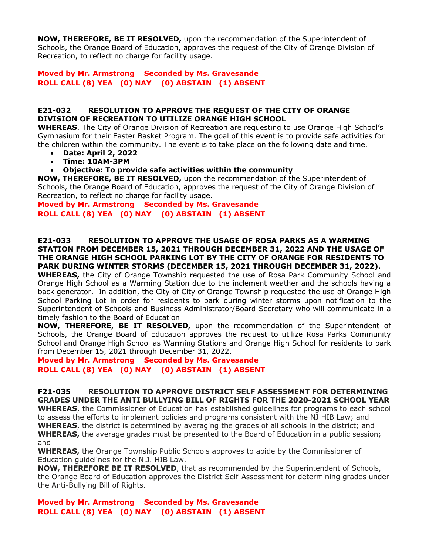**NOW, THEREFORE, BE IT RESOLVED,** upon the recommendation of the Superintendent of Schools, the Orange Board of Education, approves the request of the City of Orange Division of Recreation, to reflect no charge for facility usage.

# **Moved by Mr. Armstrong Seconded by Ms. Gravesande ROLL CALL (8) YEA (0) NAY (0) ABSTAIN (1) ABSENT**

### **E21-032 RESOLUTION TO APPROVE THE REQUEST OF THE CITY OF ORANGE DIVISION OF RECREATION TO UTILIZE ORANGE HIGH SCHOOL**

**WHEREAS**, The City of Orange Division of Recreation are requesting to use Orange High School's Gymnasium for their Easter Basket Program. The goal of this event is to provide safe activities for the children within the community. The event is to take place on the following date and time.

- **Date: April 2, 2022**
- **Time: 10AM-3PM**
- **Objective: To provide safe activities within the community**

**NOW, THEREFORE, BE IT RESOLVED,** upon the recommendation of the Superintendent of Schools, the Orange Board of Education, approves the request of the City of Orange Division of Recreation, to reflect no charge for facility usage.

**Moved by Mr. Armstrong Seconded by Ms. Gravesande ROLL CALL (8) YEA (0) NAY (0) ABSTAIN (1) ABSENT**

#### **E21-033 RESOLUTION TO APPROVE THE USAGE OF ROSA PARKS AS A WARMING STATION FROM DECEMBER 15, 2021 THROUGH DECEMBER 31, 2022 AND THE USAGE OF THE ORANGE HIGH SCHOOL PARKING LOT BY THE CITY OF ORANGE FOR RESIDENTS TO PARK DURING WINTER STORMS (DECEMBER 15, 2021 THROUGH DECEMBER 31, 2022).**

**WHEREAS,** the City of Orange Township requested the use of Rosa Park Community School and Orange High School as a Warming Station due to the inclement weather and the schools having a back generator. In addition, the City of City of Orange Township requested the use of Orange High School Parking Lot in order for residents to park during winter storms upon notification to the Superintendent of Schools and Business Administrator/Board Secretary who will communicate in a timely fashion to the Board of Education

**NOW, THEREFORE, BE IT RESOLVED,** upon the recommendation of the Superintendent of Schools, the Orange Board of Education approves the request to utilize Rosa Parks Community School and Orange High School as Warming Stations and Orange High School for residents to park from December 15, 2021 through December 31, 2022.

**Moved by Mr. Armstrong Seconded by Ms. Gravesande ROLL CALL (8) YEA (0) NAY (0) ABSTAIN (1) ABSENT**

**F21-035 RESOLUTION TO APPROVE DISTRICT SELF ASSESSMENT FOR DETERMINING GRADES UNDER THE ANTI BULLYING BILL OF RIGHTS FOR THE 2020-2021 SCHOOL YEAR WHEREAS**, the Commissioner of Education has established guidelines for programs to each school

to assess the efforts to implement policies and programs consistent with the NJ HIB Law; and **WHEREAS**, the district is determined by averaging the grades of all schools in the district; and **WHEREAS,** the average grades must be presented to the Board of Education in a public session; and

**WHEREAS,** the Orange Township Public Schools approves to abide by the Commissioner of Education guidelines for the N.J. HIB Law.

**NOW, THEREFORE BE IT RESOLVED**, that as recommended by the Superintendent of Schools, the Orange Board of Education approves the District Self-Assessment for determining grades under the Anti-Bullying Bill of Rights.

**Moved by Mr. Armstrong Seconded by Ms. Gravesande ROLL CALL (8) YEA (0) NAY (0) ABSTAIN (1) ABSENT**